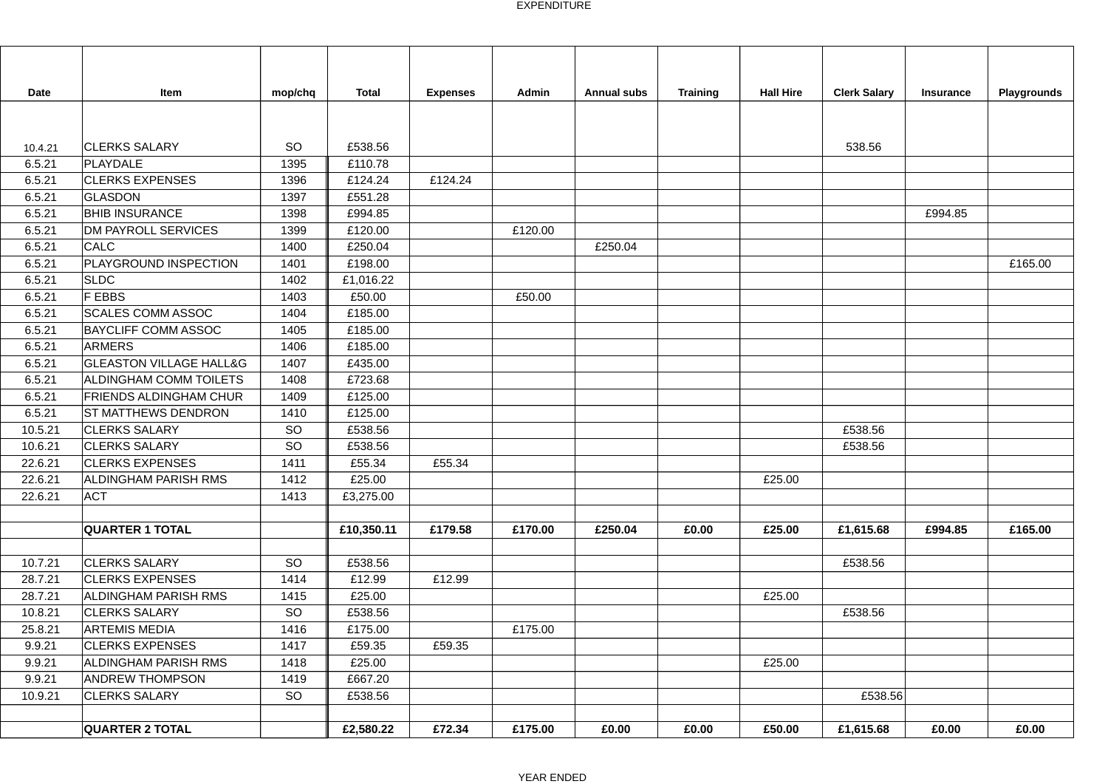| Date    | Item                               | mop/chq   | <b>Total</b> | <b>Expenses</b> | Admin   | <b>Annual subs</b> | <b>Training</b> | <b>Hall Hire</b> | <b>Clerk Salary</b> | <b>Insurance</b> | Playgrounds |
|---------|------------------------------------|-----------|--------------|-----------------|---------|--------------------|-----------------|------------------|---------------------|------------------|-------------|
|         |                                    |           |              |                 |         |                    |                 |                  |                     |                  |             |
|         |                                    |           |              |                 |         |                    |                 |                  |                     |                  |             |
| 10.4.21 | <b>CLERKS SALARY</b>               | SO        | £538.56      |                 |         |                    |                 |                  | 538.56              |                  |             |
| 6.5.21  | PLAYDALE                           | 1395      | £110.78      |                 |         |                    |                 |                  |                     |                  |             |
| 6.5.21  | <b>CLERKS EXPENSES</b>             | 1396      | £124.24      | £124.24         |         |                    |                 |                  |                     |                  |             |
| 6.5.21  | GLASDON                            | 1397      | £551.28      |                 |         |                    |                 |                  |                     |                  |             |
| 6.5.21  | <b>BHIB INSURANCE</b>              | 1398      | £994.85      |                 |         |                    |                 |                  |                     | £994.85          |             |
| 6.5.21  | <b>DM PAYROLL SERVICES</b>         | 1399      | £120.00      |                 | £120.00 |                    |                 |                  |                     |                  |             |
| 6.5.21  | CALC                               | 1400      | £250.04      |                 |         | £250.04            |                 |                  |                     |                  |             |
| 6.5.21  | PLAYGROUND INSPECTION              | 1401      | £198.00      |                 |         |                    |                 |                  |                     |                  | £165.00     |
| 6.5.21  | <b>SLDC</b>                        | 1402      | £1,016.22    |                 |         |                    |                 |                  |                     |                  |             |
| 6.5.21  | F EBBS                             | 1403      | £50.00       |                 | £50.00  |                    |                 |                  |                     |                  |             |
| 6.5.21  | <b>SCALES COMM ASSOC</b>           | 1404      | £185.00      |                 |         |                    |                 |                  |                     |                  |             |
| 6.5.21  | <b>BAYCLIFF COMM ASSOC</b>         | 1405      | £185.00      |                 |         |                    |                 |                  |                     |                  |             |
| 6.5.21  | <b>ARMERS</b>                      | 1406      | £185.00      |                 |         |                    |                 |                  |                     |                  |             |
| 6.5.21  | <b>GLEASTON VILLAGE HALL&amp;G</b> | 1407      | £435.00      |                 |         |                    |                 |                  |                     |                  |             |
| 6.5.21  | <b>ALDINGHAM COMM TOILETS</b>      | 1408      | £723.68      |                 |         |                    |                 |                  |                     |                  |             |
| 6.5.21  | <b>FRIENDS ALDINGHAM CHUR</b>      | 1409      | £125.00      |                 |         |                    |                 |                  |                     |                  |             |
| 6.5.21  | <b>ST MATTHEWS DENDRON</b>         | 1410      | £125.00      |                 |         |                    |                 |                  |                     |                  |             |
| 10.5.21 | <b>CLERKS SALARY</b>               | <b>SO</b> | £538.56      |                 |         |                    |                 |                  | £538.56             |                  |             |
| 10.6.21 | <b>CLERKS SALARY</b>               | <b>SO</b> | £538.56      |                 |         |                    |                 |                  | £538.56             |                  |             |
| 22.6.21 | <b>CLERKS EXPENSES</b>             | 1411      | £55.34       | £55.34          |         |                    |                 |                  |                     |                  |             |
| 22.6.21 | <b>ALDINGHAM PARISH RMS</b>        | 1412      | £25.00       |                 |         |                    |                 | £25.00           |                     |                  |             |
| 22.6.21 | <b>ACT</b>                         | 1413      | £3,275.00    |                 |         |                    |                 |                  |                     |                  |             |
|         |                                    |           |              |                 |         |                    |                 |                  |                     |                  |             |
|         | <b>QUARTER 1 TOTAL</b>             |           | £10,350.11   | £179.58         | £170.00 | £250.04            | £0.00           | £25.00           | £1,615.68           | £994.85          | £165.00     |
|         |                                    |           |              |                 |         |                    |                 |                  |                     |                  |             |
| 10.7.21 | <b>CLERKS SALARY</b>               | <b>SO</b> | £538.56      |                 |         |                    |                 |                  | £538.56             |                  |             |
| 28.7.21 | <b>CLERKS EXPENSES</b>             | 1414      | £12.99       | £12.99          |         |                    |                 |                  |                     |                  |             |
| 28.7.21 | <b>ALDINGHAM PARISH RMS</b>        | 1415      | £25.00       |                 |         |                    |                 | £25.00           |                     |                  |             |
| 10.8.21 | <b>CLERKS SALARY</b>               | SO        | £538.56      |                 |         |                    |                 |                  | £538.56             |                  |             |
| 25.8.21 | <b>ARTEMIS MEDIA</b>               | 1416      | £175.00      |                 | £175.00 |                    |                 |                  |                     |                  |             |
| 9.9.21  | <b>CLERKS EXPENSES</b>             | 1417      | £59.35       | £59.35          |         |                    |                 |                  |                     |                  |             |
| 9.9.21  | ALDINGHAM PARISH RMS               | 1418      | £25.00       |                 |         |                    |                 | £25.00           |                     |                  |             |
| 9.9.21  | <b>ANDREW THOMPSON</b>             | 1419      | £667.20      |                 |         |                    |                 |                  |                     |                  |             |
| 10.9.21 | <b>CLERKS SALARY</b>               | SO        | £538.56      |                 |         |                    |                 |                  | £538.56             |                  |             |
|         |                                    |           |              |                 |         |                    |                 |                  |                     |                  |             |
|         | <b>QUARTER 2 TOTAL</b>             |           | £2,580.22    | £72.34          | £175.00 | £0.00              | £0.00           | £50.00           | £1,615.68           | £0.00            | £0.00       |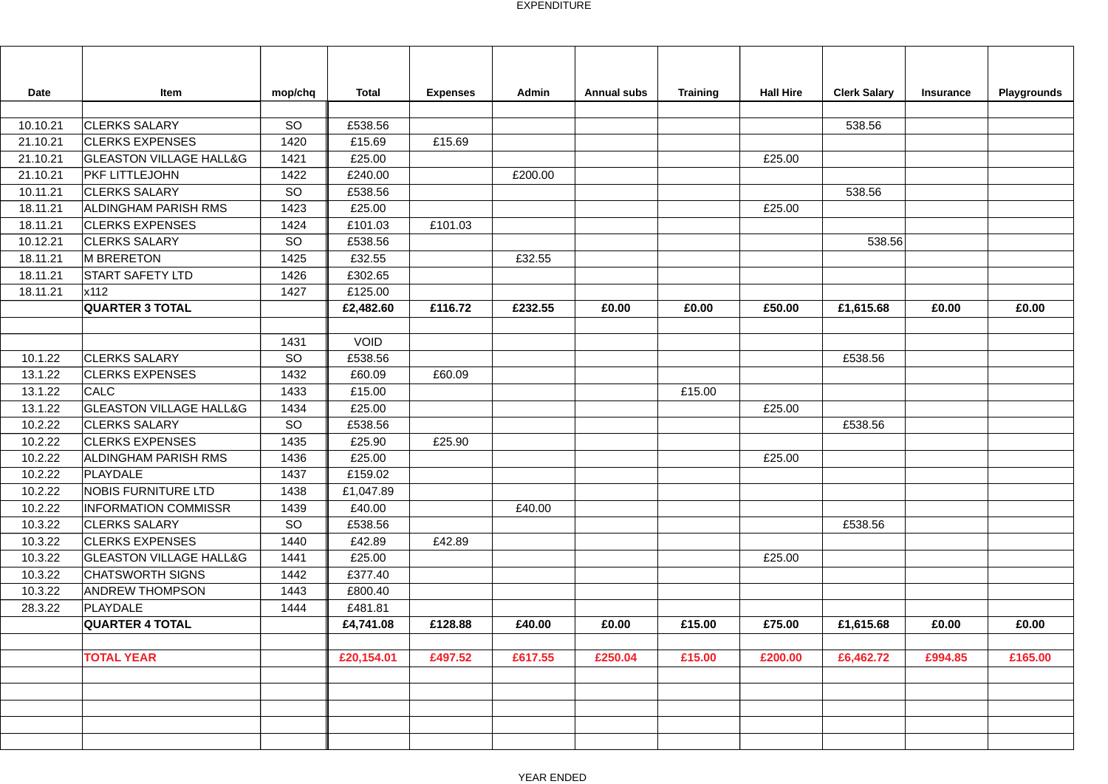| Date     | Item                               | mop/chq | <b>Total</b> | <b>Expenses</b> | Admin   | <b>Annual subs</b> | <b>Training</b> | <b>Hall Hire</b> | <b>Clerk Salary</b> | <b>Insurance</b> | Playgrounds |
|----------|------------------------------------|---------|--------------|-----------------|---------|--------------------|-----------------|------------------|---------------------|------------------|-------------|
| 10.10.21 | <b>CLERKS SALARY</b>               | SO      | £538.56      |                 |         |                    |                 |                  | 538.56              |                  |             |
| 21.10.21 | <b>CLERKS EXPENSES</b>             | 1420    | £15.69       | £15.69          |         |                    |                 |                  |                     |                  |             |
| 21.10.21 | <b>GLEASTON VILLAGE HALL&amp;G</b> | 1421    | £25.00       |                 |         |                    |                 | £25.00           |                     |                  |             |
| 21.10.21 | PKF LITTLEJOHN                     | 1422    | £240.00      |                 | £200.00 |                    |                 |                  |                     |                  |             |
| 10.11.21 | <b>CLERKS SALARY</b>               | SO      | £538.56      |                 |         |                    |                 |                  | 538.56              |                  |             |
| 18.11.21 | ALDINGHAM PARISH RMS               | 1423    | £25.00       |                 |         |                    |                 | £25.00           |                     |                  |             |
| 18.11.21 | <b>CLERKS EXPENSES</b>             | 1424    | £101.03      | £101.03         |         |                    |                 |                  |                     |                  |             |
| 10.12.21 | <b>CLERKS SALARY</b>               | SO      | £538.56      |                 |         |                    |                 |                  | 538.56              |                  |             |
| 18.11.21 | M BRERETON                         | 1425    | £32.55       |                 | £32.55  |                    |                 |                  |                     |                  |             |
| 18.11.21 | <b>START SAFETY LTD</b>            | 1426    | £302.65      |                 |         |                    |                 |                  |                     |                  |             |
| 18.11.21 | x112                               | 1427    | £125.00      |                 |         |                    |                 |                  |                     |                  |             |
|          | <b>QUARTER 3 TOTAL</b>             |         | £2,482.60    | £116.72         | £232.55 | £0.00              | £0.00           | £50.00           | £1,615.68           | £0.00            | £0.00       |
|          |                                    |         |              |                 |         |                    |                 |                  |                     |                  |             |
|          |                                    | 1431    | <b>VOID</b>  |                 |         |                    |                 |                  |                     |                  |             |
| 10.1.22  | <b>CLERKS SALARY</b>               | SO      | £538.56      |                 |         |                    |                 |                  | £538.56             |                  |             |
| 13.1.22  | <b>CLERKS EXPENSES</b>             | 1432    | £60.09       | £60.09          |         |                    |                 |                  |                     |                  |             |
| 13.1.22  | <b>CALC</b>                        | 1433    | £15.00       |                 |         |                    | £15.00          |                  |                     |                  |             |
| 13.1.22  | <b>GLEASTON VILLAGE HALL&amp;G</b> | 1434    | £25.00       |                 |         |                    |                 | £25.00           |                     |                  |             |
| 10.2.22  | <b>CLERKS SALARY</b>               | SO      | £538.56      |                 |         |                    |                 |                  | £538.56             |                  |             |
| 10.2.22  | <b>CLERKS EXPENSES</b>             | 1435    | £25.90       | £25.90          |         |                    |                 |                  |                     |                  |             |
| 10.2.22  | ALDINGHAM PARISH RMS               | 1436    | £25.00       |                 |         |                    |                 | £25.00           |                     |                  |             |
| 10.2.22  | <b>PLAYDALE</b>                    | 1437    | £159.02      |                 |         |                    |                 |                  |                     |                  |             |
| 10.2.22  | <b>NOBIS FURNITURE LTD</b>         | 1438    | £1,047.89    |                 |         |                    |                 |                  |                     |                  |             |
| 10.2.22  | <b>INFORMATION COMMISSR</b>        | 1439    | £40.00       |                 | £40.00  |                    |                 |                  |                     |                  |             |
| 10.3.22  | <b>CLERKS SALARY</b>               | SO      | £538.56      |                 |         |                    |                 |                  | £538.56             |                  |             |
| 10.3.22  | <b>CLERKS EXPENSES</b>             | 1440    | £42.89       | £42.89          |         |                    |                 |                  |                     |                  |             |
| 10.3.22  | <b>GLEASTON VILLAGE HALL&amp;G</b> | 1441    | £25.00       |                 |         |                    |                 | £25.00           |                     |                  |             |
| 10.3.22  | <b>CHATSWORTH SIGNS</b>            | 1442    | £377.40      |                 |         |                    |                 |                  |                     |                  |             |
| 10.3.22  | <b>ANDREW THOMPSON</b>             | 1443    | £800.40      |                 |         |                    |                 |                  |                     |                  |             |
| 28.3.22  | PLAYDALE                           | 1444    | £481.81      |                 |         |                    |                 |                  |                     |                  |             |
|          | <b>QUARTER 4 TOTAL</b>             |         | £4,741.08    | £128.88         | £40.00  | £0.00              | £15.00          | £75.00           | £1,615.68           | £0.00            | £0.00       |
|          |                                    |         |              |                 |         |                    |                 |                  |                     |                  |             |
|          | <b>TOTAL YEAR</b>                  |         | £20,154.01   | £497.52         | £617.55 | £250.04            | £15.00          | £200.00          | £6,462.72           | £994.85          | £165.00     |
|          |                                    |         |              |                 |         |                    |                 |                  |                     |                  |             |
|          |                                    |         |              |                 |         |                    |                 |                  |                     |                  |             |
|          |                                    |         |              |                 |         |                    |                 |                  |                     |                  |             |
|          |                                    |         |              |                 |         |                    |                 |                  |                     |                  |             |
|          |                                    |         |              |                 |         |                    |                 |                  |                     |                  |             |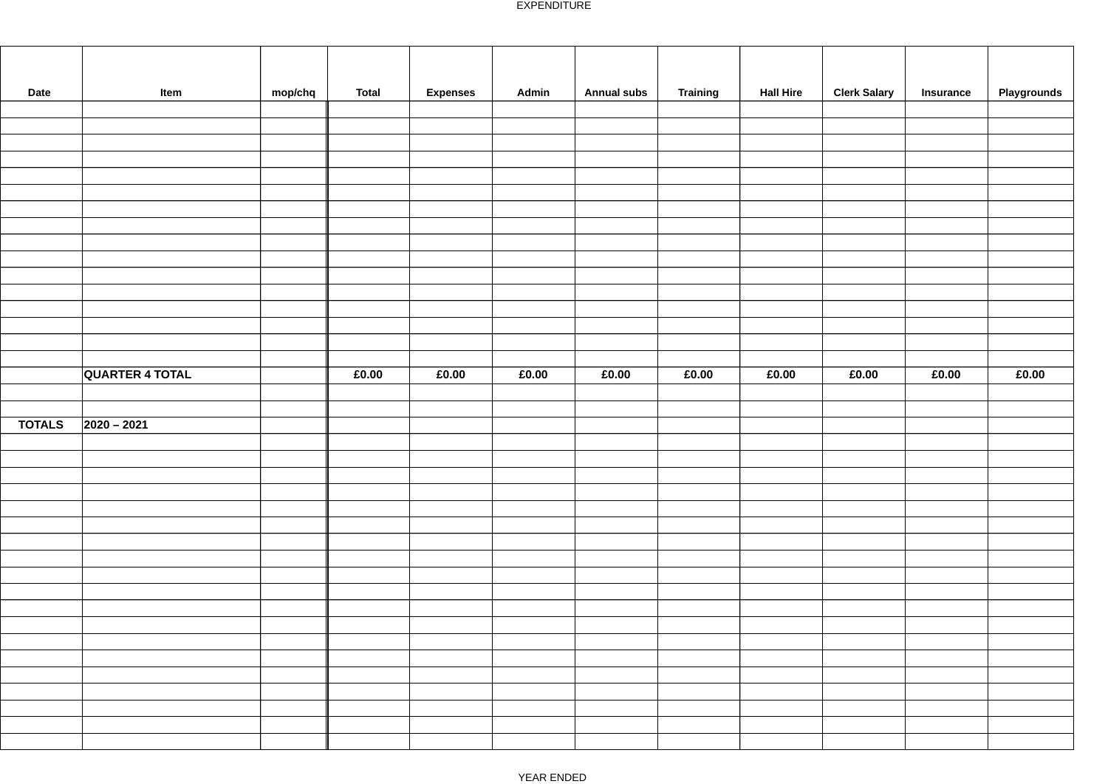| Date          | Item                   | mop/chq | <b>Total</b> | <b>Expenses</b> | Admin | <b>Annual subs</b> | Training | <b>Hall Hire</b> | <b>Clerk Salary</b> | Insurance | Playgrounds |
|---------------|------------------------|---------|--------------|-----------------|-------|--------------------|----------|------------------|---------------------|-----------|-------------|
|               |                        |         |              |                 |       |                    |          |                  |                     |           |             |
|               |                        |         |              |                 |       |                    |          |                  |                     |           |             |
|               |                        |         |              |                 |       |                    |          |                  |                     |           |             |
|               |                        |         |              |                 |       |                    |          |                  |                     |           |             |
|               |                        |         |              |                 |       |                    |          |                  |                     |           |             |
|               |                        |         |              |                 |       |                    |          |                  |                     |           |             |
|               |                        |         |              |                 |       |                    |          |                  |                     |           |             |
|               |                        |         |              |                 |       |                    |          |                  |                     |           |             |
|               |                        |         |              |                 |       |                    |          |                  |                     |           |             |
|               |                        |         |              |                 |       |                    |          |                  |                     |           |             |
|               |                        |         |              |                 |       |                    |          |                  |                     |           |             |
|               |                        |         |              |                 |       |                    |          |                  |                     |           |             |
|               |                        |         |              |                 |       |                    |          |                  |                     |           |             |
|               |                        |         |              |                 |       |                    |          |                  |                     |           |             |
|               |                        |         |              |                 |       |                    |          |                  |                     |           |             |
|               | <b>QUARTER 4 TOTAL</b> |         | £0.00        | £0.00           | £0.00 | £0.00              | £0.00    | £0.00            | £0.00               | £0.00     | £0.00       |
|               |                        |         |              |                 |       |                    |          |                  |                     |           |             |
|               |                        |         |              |                 |       |                    |          |                  |                     |           |             |
| <b>TOTALS</b> | $2020 - 2021$          |         |              |                 |       |                    |          |                  |                     |           |             |
|               |                        |         |              |                 |       |                    |          |                  |                     |           |             |
|               |                        |         |              |                 |       |                    |          |                  |                     |           |             |
|               |                        |         |              |                 |       |                    |          |                  |                     |           |             |
|               |                        |         |              |                 |       |                    |          |                  |                     |           |             |
|               |                        |         |              |                 |       |                    |          |                  |                     |           |             |
|               |                        |         |              |                 |       |                    |          |                  |                     |           |             |
|               |                        |         |              |                 |       |                    |          |                  |                     |           |             |
|               |                        |         |              |                 |       |                    |          |                  |                     |           |             |
|               |                        |         |              |                 |       |                    |          |                  |                     |           |             |
|               |                        |         |              |                 |       |                    |          |                  |                     |           |             |
|               |                        |         |              |                 |       |                    |          |                  |                     |           |             |
|               |                        |         |              |                 |       |                    |          |                  |                     |           |             |
|               |                        |         |              |                 |       |                    |          |                  |                     |           |             |
|               |                        |         |              |                 |       |                    |          |                  |                     |           |             |
|               |                        |         |              |                 |       |                    |          |                  |                     |           |             |
|               |                        |         |              |                 |       |                    |          |                  |                     |           |             |
|               |                        |         |              |                 |       |                    |          |                  |                     |           |             |
|               |                        |         |              |                 |       |                    |          |                  |                     |           |             |
|               |                        |         |              |                 |       |                    |          |                  |                     |           |             |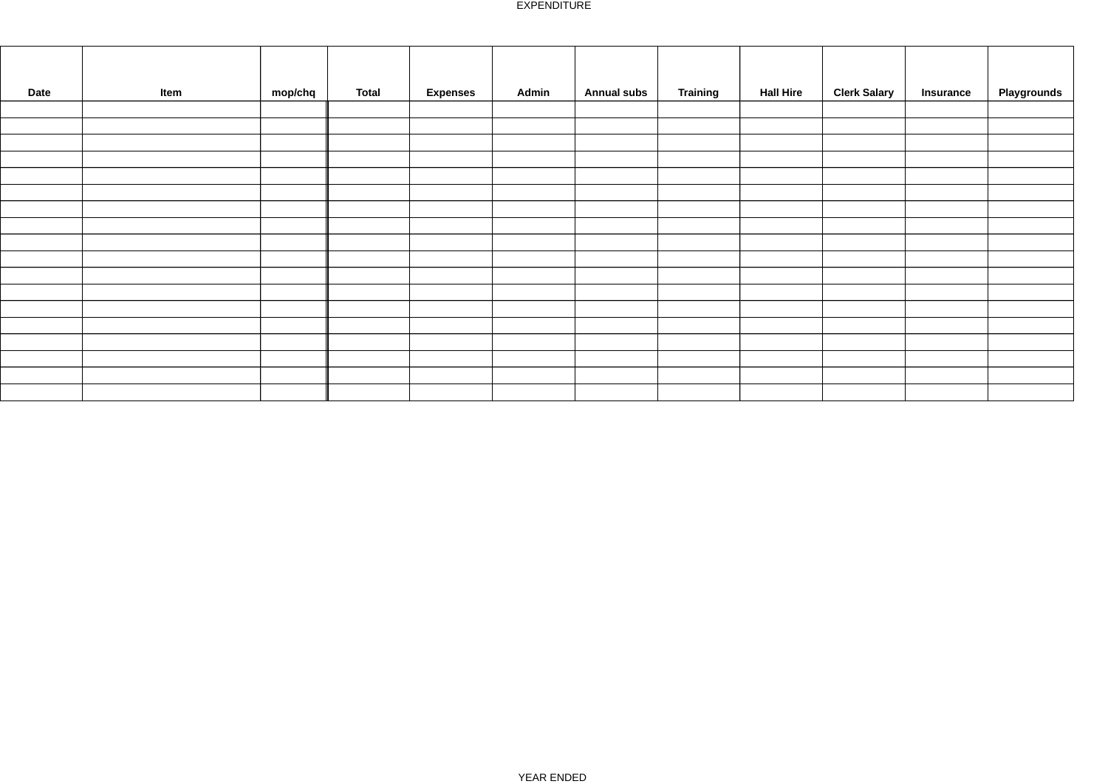| Date | mop/chq<br>Item | <b>Total</b> | <b>Expenses</b> | Admin | <b>Annual subs</b> | <b>Training</b> | <b>Hall Hire</b> | <b>Clerk Salary</b> | <b>Insurance</b> | Playgrounds |
|------|-----------------|--------------|-----------------|-------|--------------------|-----------------|------------------|---------------------|------------------|-------------|
|      |                 |              |                 |       |                    |                 |                  |                     |                  |             |
|      |                 |              |                 |       |                    |                 |                  |                     |                  |             |
|      |                 |              |                 |       |                    |                 |                  |                     |                  |             |
|      |                 |              |                 |       |                    |                 |                  |                     |                  |             |
|      |                 |              |                 |       |                    |                 |                  |                     |                  |             |
|      |                 |              |                 |       |                    |                 |                  |                     |                  |             |
|      |                 |              |                 |       |                    |                 |                  |                     |                  |             |
|      |                 |              |                 |       |                    |                 |                  |                     |                  |             |
|      |                 |              |                 |       |                    |                 |                  |                     |                  |             |
|      |                 |              |                 |       |                    |                 |                  |                     |                  |             |
|      |                 |              |                 |       |                    |                 |                  |                     |                  |             |
|      |                 |              |                 |       |                    |                 |                  |                     |                  |             |
|      |                 |              |                 |       |                    |                 |                  |                     |                  |             |
|      |                 |              |                 |       |                    |                 |                  |                     |                  |             |
|      |                 |              |                 |       |                    |                 |                  |                     |                  |             |
|      |                 |              |                 |       |                    |                 |                  |                     |                  |             |
|      |                 |              |                 |       |                    |                 |                  |                     |                  |             |
|      |                 |              |                 |       |                    |                 |                  |                     |                  |             |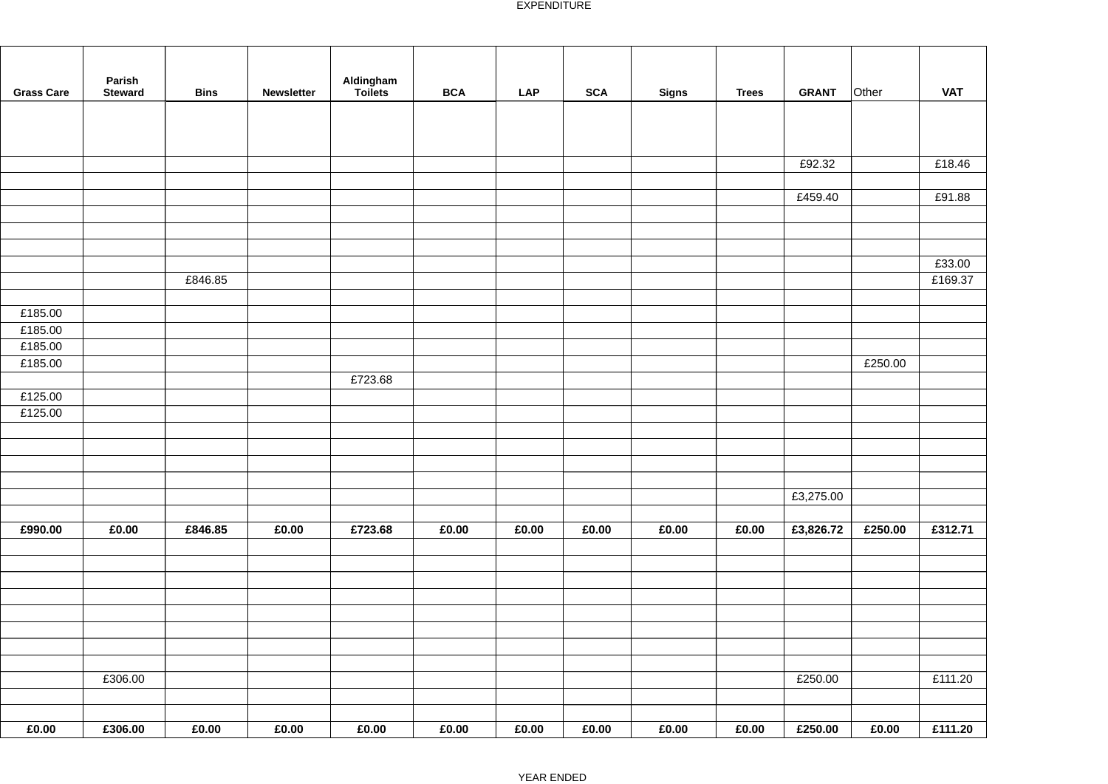| <b>Grass Care</b> | Parish<br><b>Steward</b> | <b>Bins</b> | Newsletter | Aldingham<br>Toilets | <b>BCA</b> | <b>LAP</b> | <b>SCA</b> | Signs | <b>Trees</b> | <b>GRANT</b> | Other   | <b>VAT</b> |
|-------------------|--------------------------|-------------|------------|----------------------|------------|------------|------------|-------|--------------|--------------|---------|------------|
|                   |                          |             |            |                      |            |            |            |       |              |              |         |            |
|                   |                          |             |            |                      |            |            |            |       |              | £92.32       |         | £18.46     |
|                   |                          |             |            |                      |            |            |            |       |              | £459.40      |         | £91.88     |
|                   |                          |             |            |                      |            |            |            |       |              |              |         |            |
|                   |                          |             |            |                      |            |            |            |       |              |              |         |            |
|                   |                          |             |            |                      |            |            |            |       |              |              |         |            |
|                   |                          |             |            |                      |            |            |            |       |              |              |         | £33.00     |
|                   |                          | £846.85     |            |                      |            |            |            |       |              |              |         | £169.37    |
| £185.00           |                          |             |            |                      |            |            |            |       |              |              |         |            |
| £185.00           |                          |             |            |                      |            |            |            |       |              |              |         |            |
| £185.00           |                          |             |            |                      |            |            |            |       |              |              |         |            |
| £185.00           |                          |             |            |                      |            |            |            |       |              |              | £250.00 |            |
| £125.00           |                          |             |            | £723.68              |            |            |            |       |              |              |         |            |
| £125.00           |                          |             |            |                      |            |            |            |       |              |              |         |            |
|                   |                          |             |            |                      |            |            |            |       |              |              |         |            |
|                   |                          |             |            |                      |            |            |            |       |              |              |         |            |
|                   |                          |             |            |                      |            |            |            |       |              |              |         |            |
|                   |                          |             |            |                      |            |            |            |       |              |              |         |            |
|                   |                          |             |            |                      |            |            |            |       |              | £3,275.00    |         |            |
| £990.00           | £0.00                    | £846.85     | £0.00      | £723.68              | £0.00      | £0.00      | £0.00      | £0.00 | £0.00        | £3,826.72    | £250.00 | £312.71    |
|                   |                          |             |            |                      |            |            |            |       |              |              |         |            |
|                   |                          |             |            |                      |            |            |            |       |              |              |         |            |
|                   |                          |             |            |                      |            |            |            |       |              |              |         |            |
|                   |                          |             |            |                      |            |            |            |       |              |              |         |            |
|                   |                          |             |            |                      |            |            |            |       |              |              |         |            |
|                   |                          |             |            |                      |            |            |            |       |              |              |         |            |
|                   |                          |             |            |                      |            |            |            |       |              |              |         |            |
|                   | £306.00                  |             |            |                      |            |            |            |       |              | £250.00      |         | £111.20    |
|                   |                          |             |            |                      |            |            |            |       |              |              |         |            |
| £0.00             | £306.00                  | £0.00       | £0.00      | £0.00                | £0.00      | £0.00      | £0.00      | £0.00 | £0.00        | £250.00      | £0.00   | £111.20    |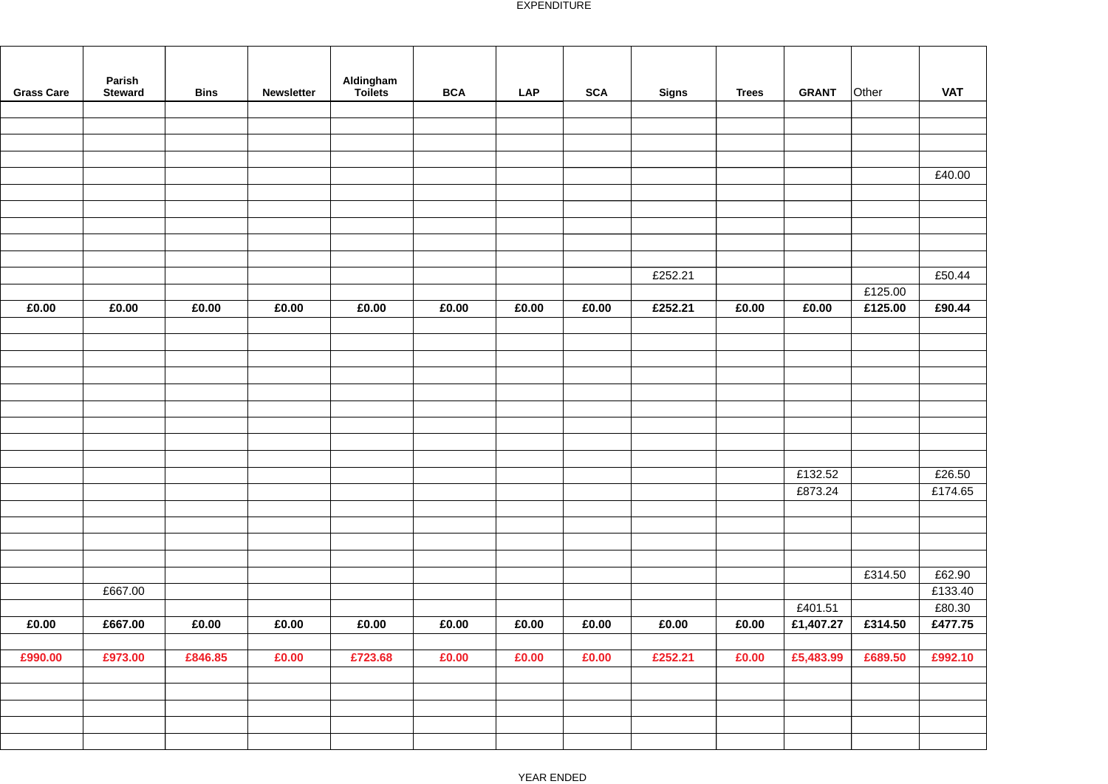| <b>Grass Care</b> | Parish<br><b>Steward</b> | <b>Bins</b> | <b>Newsletter</b> | Aldingham<br>Toilets | <b>BCA</b> | <b>LAP</b> | <b>SCA</b> | <b>Signs</b> | <b>Trees</b> | <b>GRANT</b> | Other   | <b>VAT</b> |
|-------------------|--------------------------|-------------|-------------------|----------------------|------------|------------|------------|--------------|--------------|--------------|---------|------------|
|                   |                          |             |                   |                      |            |            |            |              |              |              |         |            |
|                   |                          |             |                   |                      |            |            |            |              |              |              |         |            |
|                   |                          |             |                   |                      |            |            |            |              |              |              |         |            |
|                   |                          |             |                   |                      |            |            |            |              |              |              |         |            |
|                   |                          |             |                   |                      |            |            |            |              |              |              |         | £40.00     |
|                   |                          |             |                   |                      |            |            |            |              |              |              |         |            |
|                   |                          |             |                   |                      |            |            |            |              |              |              |         |            |
|                   |                          |             |                   |                      |            |            |            |              |              |              |         |            |
|                   |                          |             |                   |                      |            |            |            |              |              |              |         |            |
|                   |                          |             |                   |                      |            |            |            |              |              |              |         |            |
|                   |                          |             |                   |                      |            |            |            | £252.21      |              |              |         | £50.44     |
|                   |                          |             |                   |                      |            |            |            |              |              |              | £125.00 |            |
| £0.00             | £0.00                    | £0.00       | £0.00             | £0.00                | £0.00      | £0.00      | £0.00      | £252.21      | £0.00        | £0.00        | £125.00 | £90.44     |
|                   |                          |             |                   |                      |            |            |            |              |              |              |         |            |
|                   |                          |             |                   |                      |            |            |            |              |              |              |         |            |
|                   |                          |             |                   |                      |            |            |            |              |              |              |         |            |
|                   |                          |             |                   |                      |            |            |            |              |              |              |         |            |
|                   |                          |             |                   |                      |            |            |            |              |              |              |         |            |
|                   |                          |             |                   |                      |            |            |            |              |              |              |         |            |
|                   |                          |             |                   |                      |            |            |            |              |              |              |         |            |
|                   |                          |             |                   |                      |            |            |            |              |              |              |         |            |
|                   |                          |             |                   |                      |            |            |            |              |              | £132.52      |         | £26.50     |
|                   |                          |             |                   |                      |            |            |            |              |              | £873.24      |         | £174.65    |
|                   |                          |             |                   |                      |            |            |            |              |              |              |         |            |
|                   |                          |             |                   |                      |            |            |            |              |              |              |         |            |
|                   |                          |             |                   |                      |            |            |            |              |              |              |         |            |
|                   |                          |             |                   |                      |            |            |            |              |              |              |         |            |
|                   |                          |             |                   |                      |            |            |            |              |              |              | £314.50 | £62.90     |
|                   | £667.00                  |             |                   |                      |            |            |            |              |              |              |         | £133.40    |
|                   |                          |             |                   |                      |            |            |            |              |              | £401.51      |         | £80.30     |
| £0.00             | £667.00                  | £0.00       | £0.00             | £0.00                | £0.00      | £0.00      | £0.00      | £0.00        | £0.00        | £1,407.27    | £314.50 | £477.75    |
|                   |                          |             |                   |                      |            |            |            |              |              |              |         |            |
| £990.00           | £973.00                  | £846.85     | £0.00             | £723.68              | £0.00      | £0.00      | £0.00      | £252.21      | £0.00        | £5,483.99    | £689.50 | £992.10    |
|                   |                          |             |                   |                      |            |            |            |              |              |              |         |            |
|                   |                          |             |                   |                      |            |            |            |              |              |              |         |            |
|                   |                          |             |                   |                      |            |            |            |              |              |              |         |            |
|                   |                          |             |                   |                      |            |            |            |              |              |              |         |            |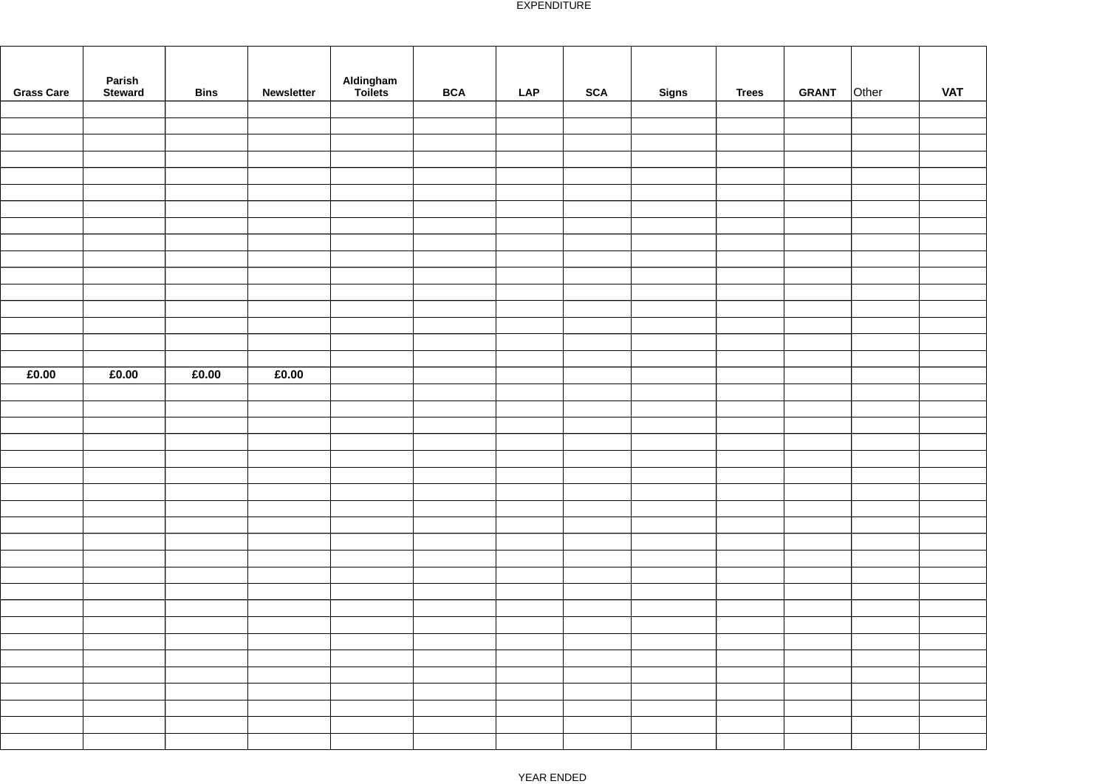| <b>Grass Care</b> | Parish<br>Steward | <b>Bins</b> | Newsletter | Aldingham<br>Toilets | $\mathsf{BCA}$ | LAP | <b>SCA</b> | <b>Signs</b> | <b>Trees</b> | GRANT Other | <b>VAT</b> |
|-------------------|-------------------|-------------|------------|----------------------|----------------|-----|------------|--------------|--------------|-------------|------------|
|                   |                   |             |            |                      |                |     |            |              |              |             |            |
|                   |                   |             |            |                      |                |     |            |              |              |             |            |
|                   |                   |             |            |                      |                |     |            |              |              |             |            |
|                   |                   |             |            |                      |                |     |            |              |              |             |            |
|                   |                   |             |            |                      |                |     |            |              |              |             |            |
|                   |                   |             |            |                      |                |     |            |              |              |             |            |
|                   |                   |             |            |                      |                |     |            |              |              |             |            |
|                   |                   |             |            |                      |                |     |            |              |              |             |            |
|                   |                   |             |            |                      |                |     |            |              |              |             |            |
|                   |                   |             |            |                      |                |     |            |              |              |             |            |
|                   |                   |             |            |                      |                |     |            |              |              |             |            |
|                   |                   |             |            |                      |                |     |            |              |              |             |            |
|                   |                   |             |            |                      |                |     |            |              |              |             |            |
|                   |                   |             |            |                      |                |     |            |              |              |             |            |
| £0.00             | £0.00             | £0.00       | £0.00      |                      |                |     |            |              |              |             |            |
|                   |                   |             |            |                      |                |     |            |              |              |             |            |
|                   |                   |             |            |                      |                |     |            |              |              |             |            |
|                   |                   |             |            |                      |                |     |            |              |              |             |            |
|                   |                   |             |            |                      |                |     |            |              |              |             |            |
|                   |                   |             |            |                      |                |     |            |              |              |             |            |
|                   |                   |             |            |                      |                |     |            |              |              |             |            |
|                   |                   |             |            |                      |                |     |            |              |              |             |            |
|                   |                   |             |            |                      |                |     |            |              |              |             |            |
|                   |                   |             |            |                      |                |     |            |              |              |             |            |
|                   |                   |             |            |                      |                |     |            |              |              |             |            |
|                   |                   |             |            |                      |                |     |            |              |              |             |            |
|                   |                   |             |            |                      |                |     |            |              |              |             |            |
|                   |                   |             |            |                      |                |     |            |              |              |             |            |
|                   |                   |             |            |                      |                |     |            |              |              |             |            |
|                   |                   |             |            |                      |                |     |            |              |              |             |            |
|                   |                   |             |            |                      |                |     |            |              |              |             |            |
|                   |                   |             |            |                      |                |     |            |              |              |             |            |
|                   |                   |             |            |                      |                |     |            |              |              |             |            |
|                   |                   |             |            |                      |                |     |            |              |              |             |            |
|                   |                   |             |            |                      |                |     |            |              |              |             |            |
|                   |                   |             |            |                      |                |     |            |              |              |             |            |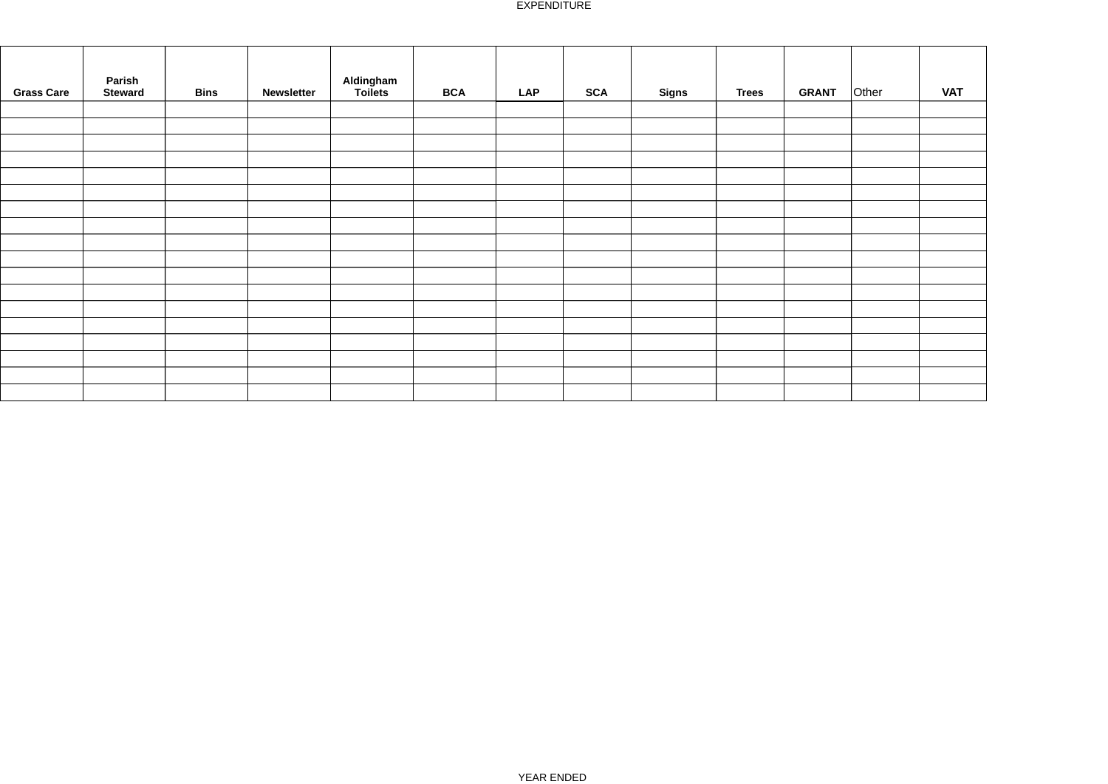| <b>Grass Care</b> | Parish<br><b>Bins</b><br><b>Steward</b> | Newsletter | Aldingham<br>Toilets | <b>BCA</b> | <b>LAP</b> | <b>SCA</b> | <b>Signs</b> | <b>Trees</b> | <b>GRANT</b> | Other | <b>VAT</b> |
|-------------------|-----------------------------------------|------------|----------------------|------------|------------|------------|--------------|--------------|--------------|-------|------------|
|                   |                                         |            |                      |            |            |            |              |              |              |       |            |
|                   |                                         |            |                      |            |            |            |              |              |              |       |            |
|                   |                                         |            |                      |            |            |            |              |              |              |       |            |
|                   |                                         |            |                      |            |            |            |              |              |              |       |            |
|                   |                                         |            |                      |            |            |            |              |              |              |       |            |
|                   |                                         |            |                      |            |            |            |              |              |              |       |            |
|                   |                                         |            |                      |            |            |            |              |              |              |       |            |
|                   |                                         |            |                      |            |            |            |              |              |              |       |            |
|                   |                                         |            |                      |            |            |            |              |              |              |       |            |
|                   |                                         |            |                      |            |            |            |              |              |              |       |            |
|                   |                                         |            |                      |            |            |            |              |              |              |       |            |
|                   |                                         |            |                      |            |            |            |              |              |              |       |            |
|                   |                                         |            |                      |            |            |            |              |              |              |       |            |
|                   |                                         |            |                      |            |            |            |              |              |              |       |            |
|                   |                                         |            |                      |            |            |            |              |              |              |       |            |
|                   |                                         |            |                      |            |            |            |              |              |              |       |            |
|                   |                                         |            |                      |            |            |            |              |              |              |       |            |
|                   |                                         |            |                      |            |            |            |              |              |              |       |            |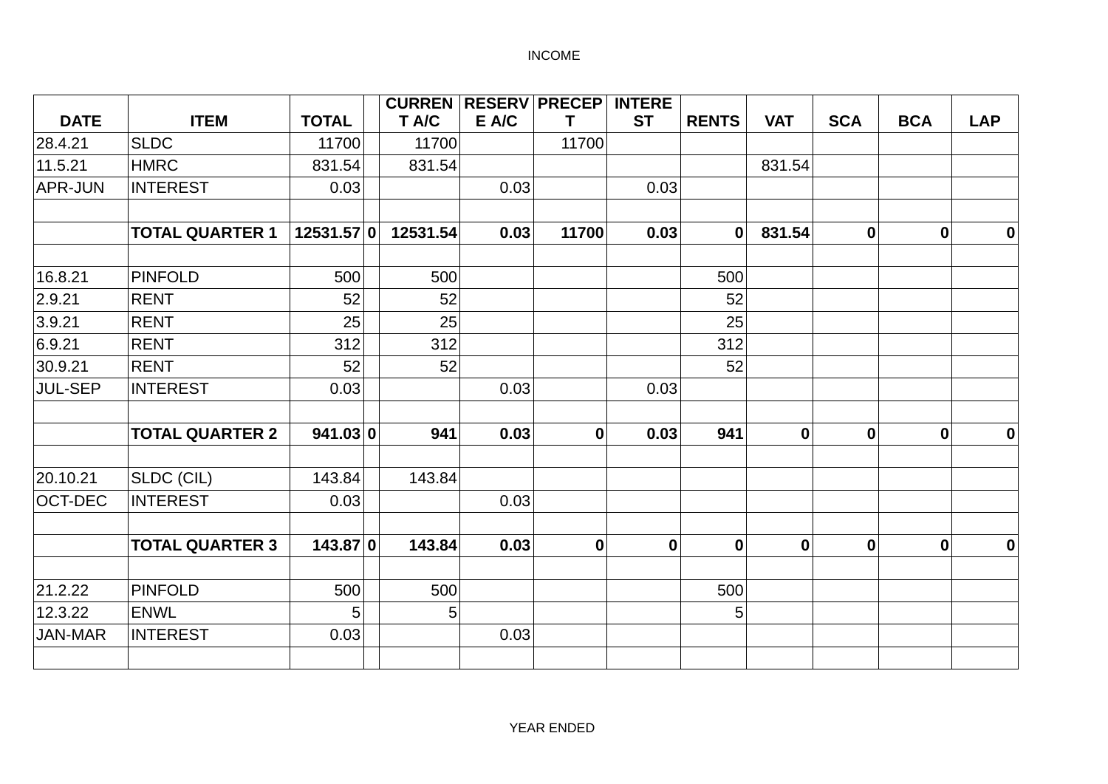|                |                        |              | <b>CURREN RESERV PRECEP</b> |       |                  | <b>INTERE</b>    |              |                  |                  |            |                  |
|----------------|------------------------|--------------|-----------------------------|-------|------------------|------------------|--------------|------------------|------------------|------------|------------------|
| <b>DATE</b>    | <b>ITEM</b>            | <b>TOTAL</b> | T A/C                       | E A/C | т                | <b>ST</b>        | <b>RENTS</b> | <b>VAT</b>       | <b>SCA</b>       | <b>BCA</b> | <b>LAP</b>       |
| 28.4.21        | <b>SLDC</b>            | 11700        | 11700                       |       | 11700            |                  |              |                  |                  |            |                  |
| 11.5.21        | <b>HMRC</b>            | 831.54       | 831.54                      |       |                  |                  |              | 831.54           |                  |            |                  |
| APR-JUN        | <b>INTEREST</b>        | 0.03         |                             | 0.03  |                  | 0.03             |              |                  |                  |            |                  |
|                | <b>TOTAL QUARTER 1</b> | 12531.57 0   | 12531.54                    | 0.03  | 11700            | 0.03             | $\mathbf{0}$ | 831.54           | $\boldsymbol{0}$ | 0          | $\bf{0}$         |
| 16.8.21        | <b>PINFOLD</b>         | 500          | 500                         |       |                  |                  | 500          |                  |                  |            |                  |
| 2.9.21         | <b>RENT</b>            | 52           | 52                          |       |                  |                  | 52           |                  |                  |            |                  |
| 3.9.21         | <b>RENT</b>            | 25           | 25                          |       |                  |                  | 25           |                  |                  |            |                  |
| 6.9.21         | <b>RENT</b>            | 312          | 312                         |       |                  |                  | 312          |                  |                  |            |                  |
| 30.9.21        | <b>RENT</b>            | 52           | 52                          |       |                  |                  | 52           |                  |                  |            |                  |
| <b>JUL-SEP</b> | <b>INTEREST</b>        | 0.03         |                             | 0.03  |                  | 0.03             |              |                  |                  |            |                  |
|                | <b>TOTAL QUARTER 2</b> | 941.03 0     | 941                         | 0.03  | $\mathbf{0}$     | 0.03             | 941          | $\boldsymbol{0}$ | $\mathbf 0$      | 0          | $\boldsymbol{0}$ |
| 20.10.21       | SLDC (CIL)             | 143.84       | 143.84                      |       |                  |                  |              |                  |                  |            |                  |
| <b>OCT-DEC</b> | <b>INTEREST</b>        | 0.03         |                             | 0.03  |                  |                  |              |                  |                  |            |                  |
|                | <b>TOTAL QUARTER 3</b> | 143.87 0     | 143.84                      | 0.03  | $\boldsymbol{0}$ | $\boldsymbol{0}$ | $\mathbf 0$  | $\boldsymbol{0}$ | $\bf{0}$         | 0          | $\bf{0}$         |
| 21.2.22        | <b>PINFOLD</b>         | 500          | 500                         |       |                  |                  | 500          |                  |                  |            |                  |
| 12.3.22        | <b>ENWL</b>            | 5            | 5                           |       |                  |                  | 5            |                  |                  |            |                  |
| <b>JAN-MAR</b> | <b>INTEREST</b>        | 0.03         |                             | 0.03  |                  |                  |              |                  |                  |            |                  |
|                |                        |              |                             |       |                  |                  |              |                  |                  |            |                  |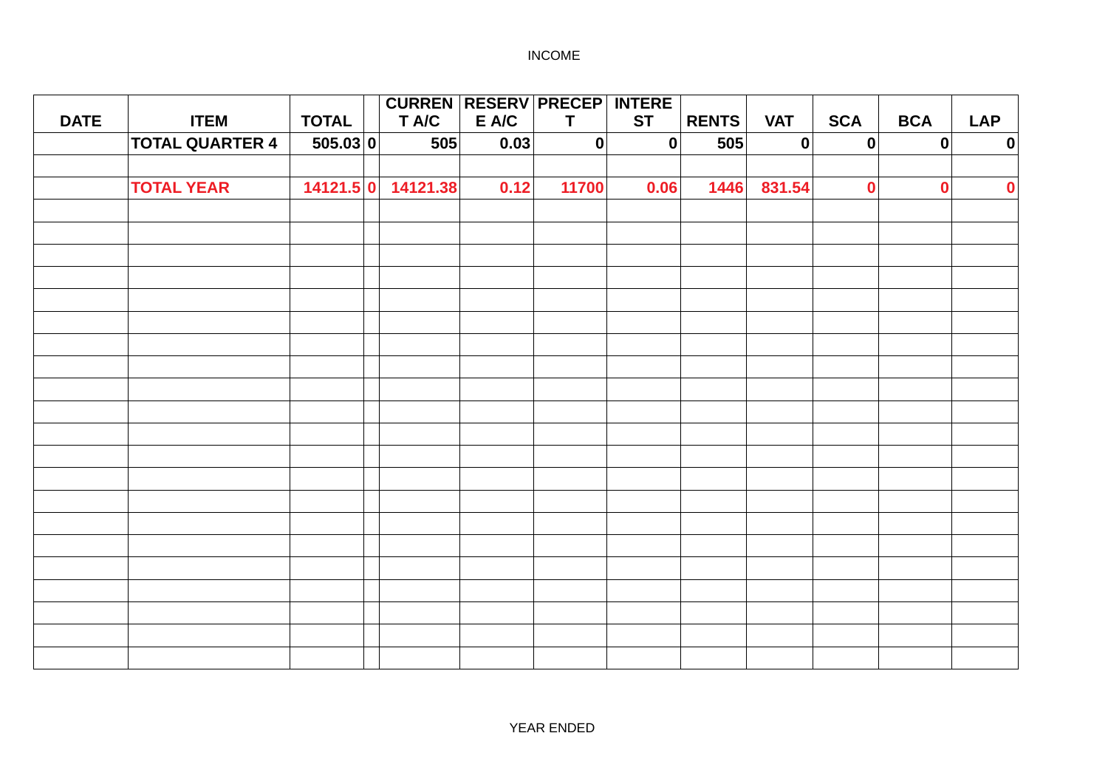|             |                        |              | <b>CURREN RESERV PRECEP INTERE</b> |       |              |                  |              |             |             |              |            |
|-------------|------------------------|--------------|------------------------------------|-------|--------------|------------------|--------------|-------------|-------------|--------------|------------|
| <b>DATE</b> | <b>ITEM</b>            | <b>TOTAL</b> | T A/C                              | E A/C | $\mathsf{T}$ | <b>ST</b>        | <b>RENTS</b> | <b>VAT</b>  | <b>SCA</b>  | <b>BCA</b>   | <b>LAP</b> |
|             | <b>TOTAL QUARTER 4</b> | 505.03 0     | 505                                | 0.03  | 0            | $\boldsymbol{0}$ | 505          | $\mathbf 0$ | $\mathbf 0$ | $\mathbf{0}$ | $\pmb{0}$  |
|             |                        |              |                                    |       |              |                  |              |             |             |              |            |
|             | <b>TOTAL YEAR</b>      |              | 14121.5 0 14121.38                 | 0.12  | 11700        | 0.06             | 1446         | 831.54      | $\mathbf 0$ | $\mathbf 0$  | $\pmb{0}$  |
|             |                        |              |                                    |       |              |                  |              |             |             |              |            |
|             |                        |              |                                    |       |              |                  |              |             |             |              |            |
|             |                        |              |                                    |       |              |                  |              |             |             |              |            |
|             |                        |              |                                    |       |              |                  |              |             |             |              |            |
|             |                        |              |                                    |       |              |                  |              |             |             |              |            |
|             |                        |              |                                    |       |              |                  |              |             |             |              |            |
|             |                        |              |                                    |       |              |                  |              |             |             |              |            |
|             |                        |              |                                    |       |              |                  |              |             |             |              |            |
|             |                        |              |                                    |       |              |                  |              |             |             |              |            |
|             |                        |              |                                    |       |              |                  |              |             |             |              |            |
|             |                        |              |                                    |       |              |                  |              |             |             |              |            |
|             |                        |              |                                    |       |              |                  |              |             |             |              |            |
|             |                        |              |                                    |       |              |                  |              |             |             |              |            |
|             |                        |              |                                    |       |              |                  |              |             |             |              |            |
|             |                        |              |                                    |       |              |                  |              |             |             |              |            |
|             |                        |              |                                    |       |              |                  |              |             |             |              |            |
|             |                        |              |                                    |       |              |                  |              |             |             |              |            |
|             |                        |              |                                    |       |              |                  |              |             |             |              |            |
|             |                        |              |                                    |       |              |                  |              |             |             |              |            |
|             |                        |              |                                    |       |              |                  |              |             |             |              |            |
|             |                        |              |                                    |       |              |                  |              |             |             |              |            |
|             |                        |              |                                    |       |              |                  |              |             |             |              |            |
|             |                        |              |                                    |       |              |                  |              |             |             |              |            |
|             |                        |              |                                    |       |              |                  |              |             |             |              |            |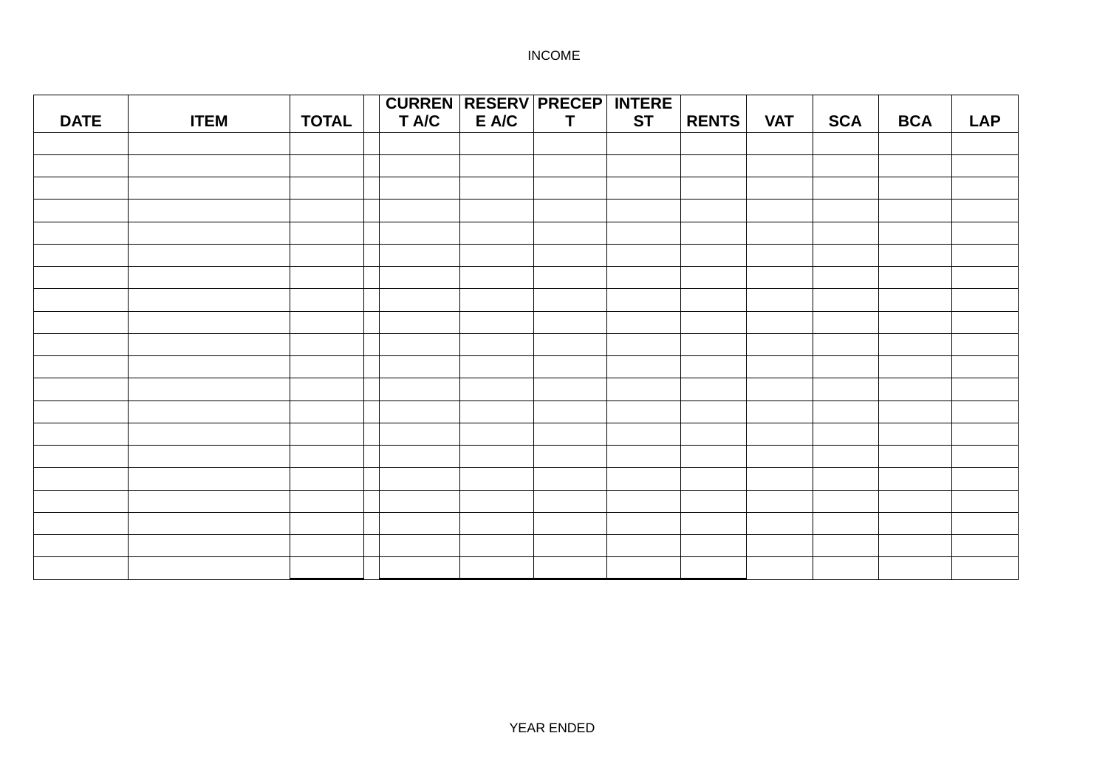|             |             |              |       | <b>CURREN RESERV PRECEP INTERE</b> |           |              |            |            |            |            |
|-------------|-------------|--------------|-------|------------------------------------|-----------|--------------|------------|------------|------------|------------|
| <b>DATE</b> | <b>ITEM</b> | <b>TOTAL</b> | T A/C | E A/C<br>$\mathbf T$               | <b>ST</b> | <b>RENTS</b> | <b>VAT</b> | <b>SCA</b> | <b>BCA</b> | <b>LAP</b> |
|             |             |              |       |                                    |           |              |            |            |            |            |
|             |             |              |       |                                    |           |              |            |            |            |            |
|             |             |              |       |                                    |           |              |            |            |            |            |
|             |             |              |       |                                    |           |              |            |            |            |            |
|             |             |              |       |                                    |           |              |            |            |            |            |
|             |             |              |       |                                    |           |              |            |            |            |            |
|             |             |              |       |                                    |           |              |            |            |            |            |
|             |             |              |       |                                    |           |              |            |            |            |            |
|             |             |              |       |                                    |           |              |            |            |            |            |
|             |             |              |       |                                    |           |              |            |            |            |            |
|             |             |              |       |                                    |           |              |            |            |            |            |
|             |             |              |       |                                    |           |              |            |            |            |            |
|             |             |              |       |                                    |           |              |            |            |            |            |
|             |             |              |       |                                    |           |              |            |            |            |            |
|             |             |              |       |                                    |           |              |            |            |            |            |
|             |             |              |       |                                    |           |              |            |            |            |            |
|             |             |              |       |                                    |           |              |            |            |            |            |
|             |             |              |       |                                    |           |              |            |            |            |            |
|             |             |              |       |                                    |           |              |            |            |            |            |
|             |             |              |       |                                    |           |              |            |            |            |            |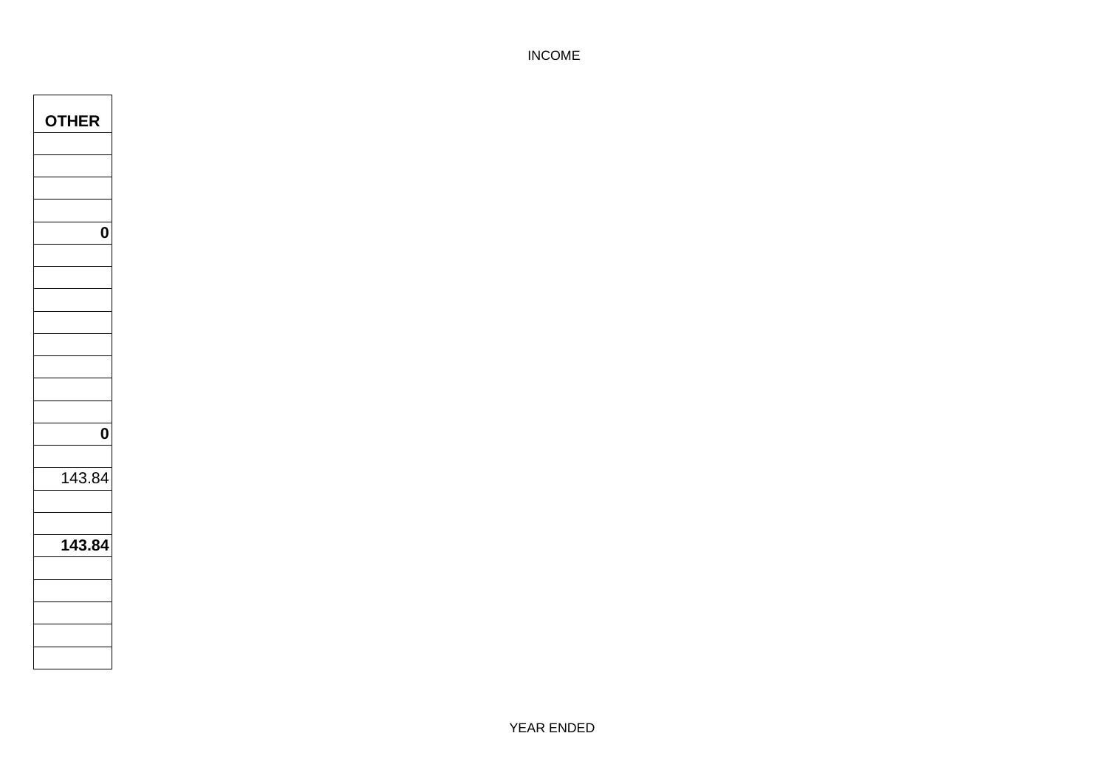